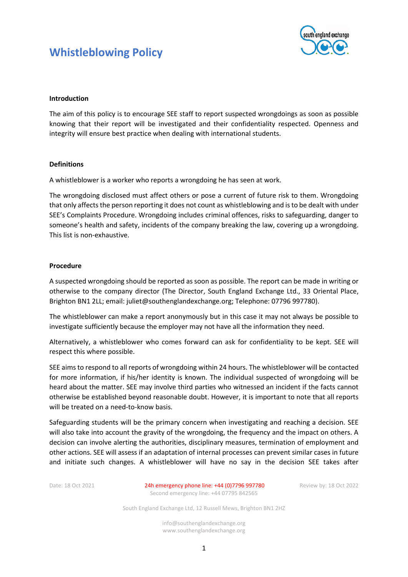# **Whistleblowing Policy**



# **Introduction**

The aim of this policy is to encourage SEE staff to report suspected wrongdoings as soon as possible knowing that their report will be investigated and their confidentiality respected. Openness and integrity will ensure best practice when dealing with international students.

## **Definitions**

A whistleblower is a worker who reports a wrongdoing he has seen at work.

The wrongdoing disclosed must affect others or pose a current of future risk to them. Wrongdoing that only affects the person reporting it does not count as whistleblowing and is to be dealt with under SEE's Complaints Procedure. Wrongdoing includes criminal offences, risks to safeguarding, danger to someone's health and safety, incidents of the company breaking the law, covering up a wrongdoing. This list is non-exhaustive.

# **Procedure**

A suspected wrongdoing should be reported as soon as possible. The report can be made in writing or otherwise to the company director (The Director, South England Exchange Ltd., 33 Oriental Place, Brighton BN1 2LL; email: juliet@southenglandexchange.org; Telephone: 07796 997780).

The whistleblower can make a report anonymously but in this case it may not always be possible to investigate sufficiently because the employer may not have all the information they need.

Alternatively, a whistleblower who comes forward can ask for confidentiality to be kept. SEE will respect this where possible.

SEE aims to respond to all reports of wrongdoing within 24 hours. The whistleblower will be contacted for more information, if his/her identity is known. The individual suspected of wrongdoing will be heard about the matter. SEE may involve third parties who witnessed an incident if the facts cannot otherwise be established beyond reasonable doubt. However, it is important to note that all reports will be treated on a need-to-know basis.

Safeguarding students will be the primary concern when investigating and reaching a decision. SEE will also take into account the gravity of the wrongdoing, the frequency and the impact on others. A decision can involve alerting the authorities, disciplinary measures, termination of employment and other actions. SEE will assess if an adaptation of internal processes can prevent similar cases in future and initiate such changes. A whistleblower will have no say in the decision SEE takes after

Date: 18 Oct 2021 24h emergency phone line: +44 (0)7796 997780 Review by: 18 Oct 2022 Second emergency line: +44 07795 842565

South England Exchange Ltd, 12 Russell Mews, Brighton BN1 2HZ

info@southenglandexchange.org www.southenglandexchange.org